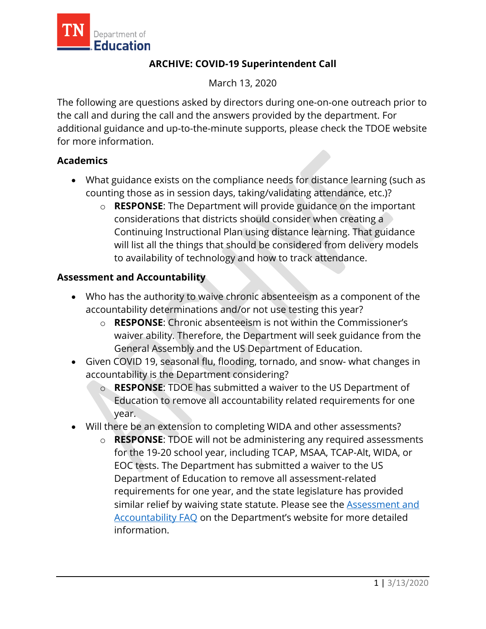

# **ARCHIVE: COVID-19 Superintendent Call**

March 13, 2020

The following are questions asked by directors during one-on-one outreach prior to the call and during the call and the answers provided by the department. For additional guidance and up-to-the-minute supports, please check the TDOE website for more information.

### **Academics**

- What guidance exists on the compliance needs for distance learning (such as counting those as in session days, taking/validating attendance, etc.)?
	- o **RESPONSE**: The Department will provide guidance on the important considerations that districts should consider when creating a Continuing Instructional Plan using distance learning. That guidance will list all the things that should be considered from delivery models to availability of technology and how to track attendance.

### **Assessment and Accountability**

- Who has the authority to waive chronic absenteeism as a component of the accountability determinations and/or not use testing this year?
	- o **RESPONSE**: Chronic absenteeism is not within the Commissioner's waiver ability. Therefore, the Department will seek guidance from the General Assembly and the US Department of Education.
- Given COVID 19, seasonal flu, flooding, tornado, and snow- what changes in accountability is the Department considering?
	- o **RESPONSE**: TDOE has submitted a waiver to the US Department of Education to remove all accountability related requirements for one year.
- Will there be an extension to completing WIDA and other assessments?
	- o **RESPONSE**: TDOE will not be administering any required assessments for the 19-20 school year, including TCAP, MSAA, TCAP-Alt, WIDA, or EOC tests. The Department has submitted a waiver to the US Department of Education to remove all assessment-related requirements for one year, and the state legislature has provided similar relief by waiving state statute. Please see the [Assessment and](https://www.tn.gov/content/dam/tn/education/health-&-safety/FAQ%20for%20Assessment%20and%20Accountability%20COVID-19%20Guidance.pdf)  [Accountability FAQ](https://www.tn.gov/content/dam/tn/education/health-&-safety/FAQ%20for%20Assessment%20and%20Accountability%20COVID-19%20Guidance.pdf) on the Department's website for more detailed information.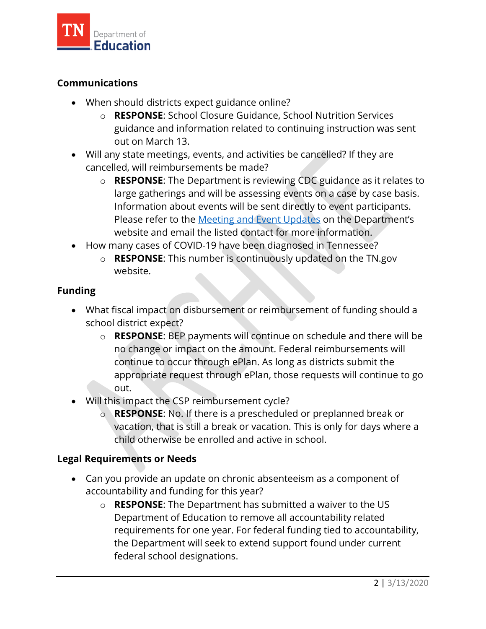

### **Communications**

- When should districts expect guidance online?
	- o **RESPONSE**: School Closure Guidance, School Nutrition Services guidance and information related to continuing instruction was sent out on March 13.
- Will any state meetings, events, and activities be cancelled? If they are cancelled, will reimbursements be made?
	- o **RESPONSE**: The Department is reviewing CDC guidance as it relates to large gatherings and will be assessing events on a case by case basis. Information about events will be sent directly to event participants. Please refer to the [Meeting and Event Updates](https://www.tn.gov/education/health-and-safety/tn-doe-meeting-and-event-cancellations-and-updates.html) on the Department's website and email the listed contact for more information.
- How many cases of COVID-19 have been diagnosed in Tennessee?
	- o **RESPONSE**: This number is continuously updated on the TN.gov website.

### **Funding**

- What fiscal impact on disbursement or reimbursement of funding should a school district expect?
	- o **RESPONSE**: BEP payments will continue on schedule and there will be no change or impact on the amount. Federal reimbursements will continue to occur through ePlan. As long as districts submit the appropriate request through ePlan, those requests will continue to go out.
- Will this impact the CSP reimbursement cycle?
	- o **RESPONSE**: No. If there is a prescheduled or preplanned break or vacation, that is still a break or vacation. This is only for days where a child otherwise be enrolled and active in school.

### **Legal Requirements or Needs**

- Can you provide an update on chronic absenteeism as a component of accountability and funding for this year?
	- o **RESPONSE**: The Department has submitted a waiver to the US Department of Education to remove all accountability related requirements for one year. For federal funding tied to accountability, the Department will seek to extend support found under current federal school designations.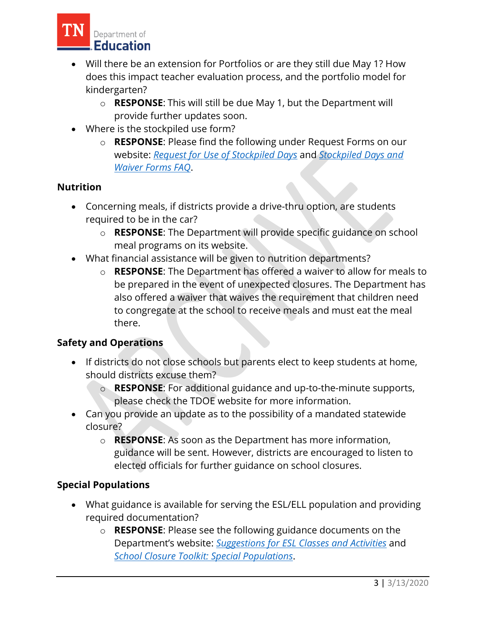

- Will there be an extension for Portfolios or are they still due May 1? How does this impact teacher evaluation process, and the portfolio model for kindergarten?
	- o **RESPONSE**: This will still be due May 1, but the Department will provide further updates soon.
- Where is the stockpiled use form?
	- o **RESPONSE**: Please find the following under Request Forms on our website: *[Request for Use of Stockpiled Days](https://www.tn.gov/content/dam/tn/education/health-&-safety/StockpileRequestForm(1).pdf)* and *[Stockpiled Days and](https://www.tn.gov/content/dam/tn/education/health-&-safety/FAQforStockpiledDaysandWaiverForms.pdf)  [Waiver Forms FAQ](https://www.tn.gov/content/dam/tn/education/health-&-safety/FAQforStockpiledDaysandWaiverForms.pdf)*.

# **Nutrition**

- Concerning meals, if districts provide a drive-thru option, are students required to be in the car?
	- o **RESPONSE**: The Department will provide specific guidance on school meal programs on its website.
- What financial assistance will be given to nutrition departments?
	- o **RESPONSE**: The Department has offered a waiver to allow for meals to be prepared in the event of unexpected closures. The Department has also offered a waiver that waives the requirement that children need to congregate at the school to receive meals and must eat the meal there.

### **Safety and Operations**

- If districts do not close schools but parents elect to keep students at home, should districts excuse them?
	- o **RESPONSE**: For additional guidance and up-to-the-minute supports, please check the TDOE website for more information.
- Can you provide an update as to the possibility of a mandated statewide closure?
	- o **RESPONSE**: As soon as the Department has more information, guidance will be sent. However, districts are encouraged to listen to elected officials for further guidance on school closures.

# **Special Populations**

- What guidance is available for serving the ESL/ELL population and providing required documentation?
	- o **RESPONSE**: Please see the following guidance documents on the Department's website: *[Suggestions for ESL Classes and Activities](https://www.tn.gov/content/dam/tn/education/health-&-safety/SuggestionsforESLClassesandActivitiesCOVID-19Guidance.pdf)* and *[School Closure Toolkit: Special Populations](https://www.tn.gov/content/dam/tn/education/health-&-safety/School_Closure_Toolkit_Special%20Populations.pdf)*.